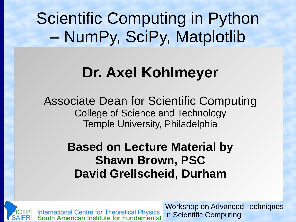Scientific Computing in Python – NumPy, SciPy, Matplotlib

## **Dr. Axel Kohlmeyer**

Associate Dean for Scientific Computing College of Science and Technology Temple University, Philadelphia

> **Based on Lecture Material by Shawn Brown, PSC David Grellscheid, Durham**

International Centre for Theoretical Physics<br>South American Institute for Fundamental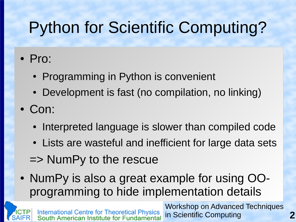# Python for Scientific Computing?

#### ● Pro:

- Programming in Python is convenient
- Development is fast (no compilation, no linking)
- Con:
	- Interpreted language is slower than compiled code
	- Lists are wasteful and inefficient for large data sets
	- => NumPy to the rescue
- NumPy is also a great example for using OOprogramming to hide implementation details

Workshop on Advanced Techniques International Centre for Theoretical Physics<br>South American Institute for Fundamental in Scientific Computing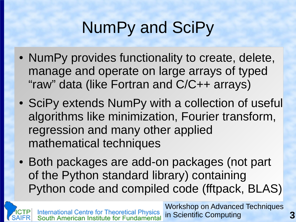# NumPy and SciPy

- NumPy provides functionality to create, delete, manage and operate on large arrays of typed "raw" data (like Fortran and C/C++ arrays)
- SciPy extends NumPy with a collection of useful algorithms like minimization, Fourier transform, regression and many other applied mathematical techniques
- Both packages are add-on packages (not part of the Python standard library) containing Python code and compiled code (fftpack, BLAS)

Workshop on Advanced Techniques International Centre for Theoretical Physics<br>South American Institute for Fundamental in Scientific Computing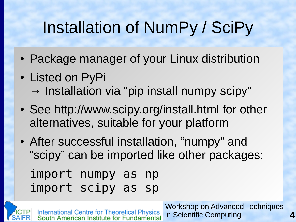# Installation of NumPy / SciPy

- Package manager of your Linux distribution
- Listed on PyPi
	- $\rightarrow$  Installation via "pip install numpy scipy"
- See http://www.scipy.org/install.html for other alternatives, suitable for your platform
- After successful installation, "numpy" and "scipy" can be imported like other packages:

```
import numpy as np
import scipy as sp
```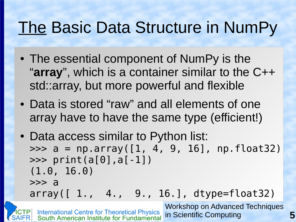#### The Basic Data Structure in NumPy

- The essential component of NumPy is the "**array**", which is a container similar to the C++ std::array, but more powerful and flexible
- Data is stored "raw" and all elements of one array have to have the same type (efficient!)
- Data access similar to Python list:  $\Rightarrow$  a = np.array( $[1, 4, 9, 16]$ , np.float32) >>> print(a[0],a[-1]) (1.0, 16.0) >>> a array([ 1., 4., 9., 16.], dtype=float32)

Workshop on Advanced Techniques **International Centre for Theoretical Physics** in Scientific Computing South American Institute for Fundamental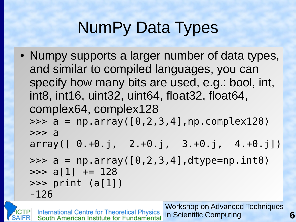# NumPy Data Types

• Numpy supports a larger number of data types, and similar to compiled languages, you can specify how many bits are used, e.g.: bool, int, int8, int16, uint32, uint64, float32, float64, complex64, complex128  $\Rightarrow$  >> a = np.array( $[0, 2, 3, 4]$ , np.complex128) >>> a  $array([ 0.+0.1, 2.+0.1, 3.+0.1, 4.+0.1])$  $\Rightarrow$  a = np.array( $[0, 2, 3, 4]$ ,dtype=np.int8)  $\gg$  a[1]  $+= 128$ >>> print (a[1]) -126

Workshop on Advanced Techniques **International Centre for Theoretical Physics<br>South American Institute for Fundamental** in Scientific Computing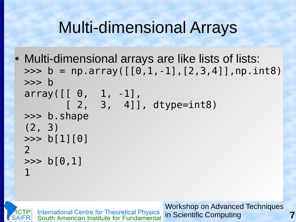## Multi-dimensional Arrays

• Multi-dimensional arrays are like lists of lists:  $\Rightarrow$  b = np.array( $[0,1,-1]$ ,  $[2,3,4]$ ], np.int8) >>> b  $array([ 0, 1, -1],$  [ 2, 3, 4]], dtype=int8) >>> b.shape (2, 3)  $\gg$  b[1][0] 2  $\gg$  b[0,1] 1

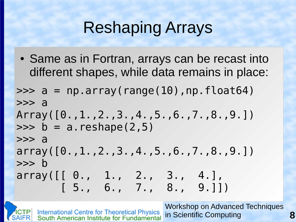## Reshaping Arrays

• Same as in Fortran, arrays can be recast into different shapes, while data remains in place:

```
\Rightarrow a = np.array(range(10),np.float64)
>>> a
Array([0.,1.,2.,3.,4.,5.,6.,7.,8.,9.])
\Rightarrow b = a.reshape(2,5)
>>> a
array([0.,1.,2.,3.,4.,5.,6.,7.,8.,9.])
>>> b
array([ [ 0., 1., 2., 3., 4.], [ 5., 6., 7., 8., 9.]])
```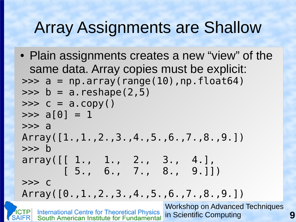## Array Assignments are Shallow

Workshop on Advanced Techniques • Plain assignments creates a new "view" of the same data. Array copies must be explicit:  $\Rightarrow$  >> a = np.array(range(10),np.float64)  $\Rightarrow$  b = a.reshape(2,5)  $\Rightarrow$   $>$   $\circ$  =  $a$ .  $\text{copy}()$  $\gg$  a[0] = 1 >>> a Array([1.,1.,2.,3.,4.,5.,6.,7.,8.,9.]) >>> b array([[ 1., 1., 2., 3., 4.],  $[5., 6., 7., 8., 9.]$ >>> c Array([0.,1.,2.,3.,4.,5.,6.,7.,8.,9.])

**International Centre for Theoretical Physics** in Scientific Computing **9** South American Institute for Fundamental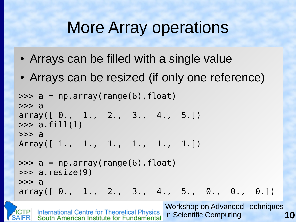- Arrays can be filled with a single value
- Arrays can be resized (if only one reference)

```
\Rightarrow a = np.array(range(6), float)
>>> a
array([ 0., 1., 2., 3., 4., 5.])\gg a.fill(1)
>>> a
Array([ 1., 1., 1., 1., 1., 1.])
\Rightarrow a = np.array(range(6), float)
\gg a.resize(9)
\Rightarrow a
array([ 0., 1., 2., 3., 4., 5., 0., 0., 0.])
```
Workshop on Advanced Techniques **International Centre for Theoretical Physics** in Scientific Computing **10** South American Institute for Fundamental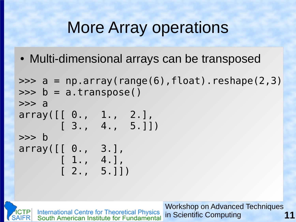• Multi-dimensional arrays can be transposed

```
\Rightarrow a = np.array(range(6), float).reshape(2,3)
\Rightarrow \phi = a.transpose()
>>> a
array([ 0., 1., 2.],
       [3., 4., 5.]>>> b
array([[ 0., 3.],
        [ 1., 4.],
       [ 2., 5.]
```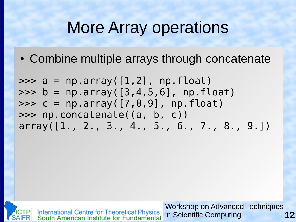• Combine multiple arrays through concatenate

 $\gg$  a = np.array( $[1,2]$ , np.float)  $\Rightarrow$  b = np.array( $[3, 4, 5, 6]$ , np.float)  $\Rightarrow$   $>$   $\le$  = np.array([7,8,9], np.float) >>> np.concatenate((a, b, c)) array([1., 2., 3., 4., 5., 6., 7., 8., 9.])



International Centre for Theoretical Physics<br>South American Institute for Fundamental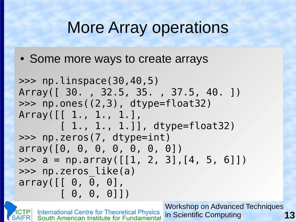• Some more ways to create arrays

```
>>> np.linspace(30,40,5)
Array([ 30. , 32.5, 35. , 37.5, 40. ])
>>> np.ones((2,3), dtype=float32)
Array([[ 1., 1., 1.],
        [ 1., 1., 1.]], dtype=float32)
>>> np.zeros(7, dtype=int)
array([0, 0, 0, 0, 0, 0, 0])
\Rightarrow a = np.array([[1, 2, 3], [4, 5, 6]])
>>> np.zeros_like(a)
array([[ 0, 0, 0],
        [ 0, 0, 0]])
```
Workshop on Advanced Techniques **International Centre for Theoretical Physics** in Scientific Computing South American Institute for Fundamental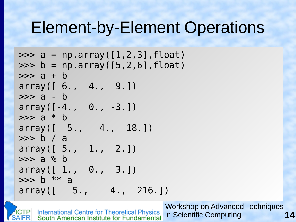#### Element-by-Element Operations

```
>>> a = np.array([1, 2, 3], float)\Rightarrow \frac{1}{2} b = np.array([5,2,6], float)
\Rightarrow > a + b
array([ 6., 4., 9.])
>>> a - b
array([ -4., 0., -3.])\Rightarrow a * b
array([ 5., 4., 18.])
>>> b / a
array([ 5., 1., 2.])
>>> a % b
array([ 1., 0., 3.])\Rightarrow b ** a
array([ 5., 4., 216.])
```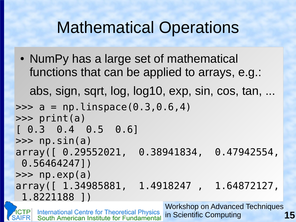## Mathematical Operations

• NumPy has a large set of mathematical functions that can be applied to arrays, e.g.: abs, sign, sqrt, log, log10, exp, sin, cos, tan, ...  $\gg$  a = np. linspace(0.3,0.6,4) >>> print(a)  $[ 0.3 \t 0.4 \t 0.5 \t 0.6]$ >>> np.sin(a) array([ 0.29552021, 0.38941834, 0.47942554,

 0.56464247])  $\gg$   $\gg$   $\gamma$   $\approx$   $\gamma$   $\approx$   $\gamma$ array([ 1.34985881, 1.4918247 , 1.64872127, 1.8221188 ])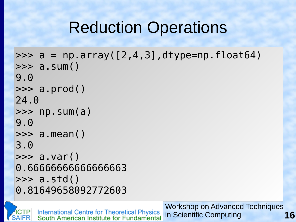## Reduction Operations

```
\Rightarrow a = np.array([2, 4, 3],dtype=np.float64)
>>> a.sum()
9.0
\gg a.prod()
24.0
\gg \gg \sim np. sum(a)
9.0
>>> a.mean()
3.0
\gg a.var()
0.66666666666666663
\gg a.std()
0.81649658092772603
```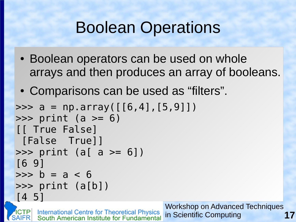## Boolean Operations

- Boolean operators can be used on whole arrays and then produces an array of booleans.
- Comparisons can be used as "filters".

```
\Rightarrow a = np.array([6, 4], [5, 9])
\gg print (a \gg 6)
[[ True False]
 [False True]]
\gg print (a[ a \approx 6])
[6 9]
\Rightarrow \frac{b}{a} = a < 6\gg print (a[b])[4 5]
```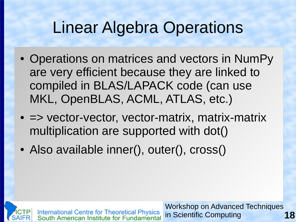## Linear Algebra Operations

- Operations on matrices and vectors in NumPy are very efficient because they are linked to compiled in BLAS/LAPACK code (can use MKL, OpenBLAS, ACML, ATLAS, etc.)
- $\bullet$   $\Rightarrow$  vector-vector, vector-matrix, matrix-matrix multiplication are supported with dot()
- Also available inner(), outer(), cross()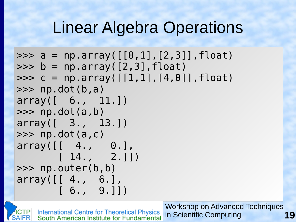#### Linear Algebra Operations

```
\Rightarrow a = np.array([0,1],[2,3]],float)
\Rightarrow \flat = np.array([2,3], float)
>>> c = np.array([1,1],[4,0]], [1,0], float)
>>> np.dot(b,a)
array([ 6., 11.])
\gg \gg \gamma np.dot(a,b)
array([ 3., 13.])
\gg np.dot(a,c)
array([[ 4., 0.],
    [ 14., 2.]>>> np.outer(b,b)
array([[ 4., 6.],
        [6., 9.]
```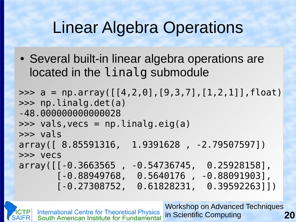## Linear Algebra Operations

• Several built-in linear algebra operations are located in the linalg submodule

```
>>> a = np.array([[4, 2, 0], [9, 3, 7], [1, 2, 1]], float)>>> np.linalg.det(a)
-48.000000000000028
\gg vals, vecs = np. linalg.eig(a)
>>> vals
array([ 8.85591316, 1.9391628 , -2.79507597])
>>> vecs
array([[-0.3663565 , -0.54736745, 0.25928158],
        [-0.88949768, 0.5640176 , -0.88091903],
        [-0.27308752, 0.61828231, 0.39592263]])
```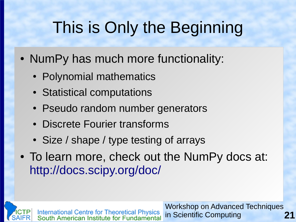# This is Only the Beginning

- NumPy has much more functionality:
	- Polynomial mathematics
	- Statistical computations
	- Pseudo random number generators
	- Discrete Fourier transforms
	- Size / shape / type testing of arrays
- To learn more, check out the NumPy docs at: <http://docs.scipy.org/doc/>

International Centre for Theoretical Physics<br>South American Institute for Fundamental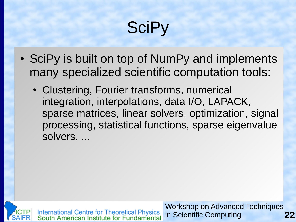# **SciPy**

- SciPy is built on top of NumPy and implements many specialized scientific computation tools:
	- Clustering, Fourier transforms, numerical integration, interpolations, data I/O, LAPACK, sparse matrices, linear solvers, optimization, signal processing, statistical functions, sparse eigenvalue solvers, ...



International Centre for Theoretical Physics<br>South American Institute for Fundamental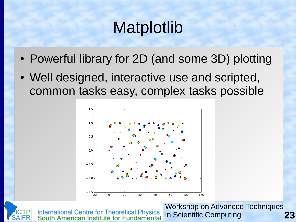## Matplotlib

- Powerful library for 2D (and some 3D) plotting
- Well designed, interactive use and scripted, common tasks easy, complex tasks possible



**International Centre for Theoretical Physics** South American Institute for Fundamental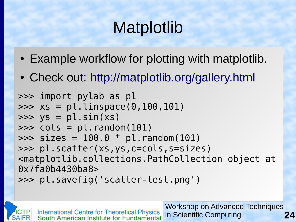# Matplotlib

- Example workflow for plotting with matplotlib.
- Check out: <http://matplotlib.org/gallery.html>

```
>>> import pylab as pl
>>> xs = pl.linspace(0,100,101)
\Rightarrow \quad ys = pl.sin(xs)
>>> cols = pl.random(101)
\Rightarrow sizes = 100.0 * pl.random(101)
>>> pl.scatter(xs,ys,c=cols,s=sizes)
<matplotlib.collections.PathCollection object at 
0x7fa0b4430ba8>
>>> pl.savefig('scatter-test.png')
```
Workshop on Advanced Techniques **International Centre for Theoretical Physics<br>South American Institute for Fundamental** in Scientific Computing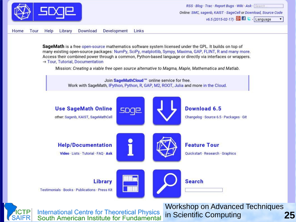

SageMath is a free open-source mathematics software system licensed under the GPL. It builds on top of many existing open-source packages: NumPy, SciPy, matplotlib, Sympy, Maxima, GAP, FLINT, R and many more. Access their combined power through a common, Python-based language or directly via interfaces or wrappers. → Tour, Tutorial, Documentation

Mission: Creating a viable free open source alternative to Magma, Maple, Mathematica and Matlab.